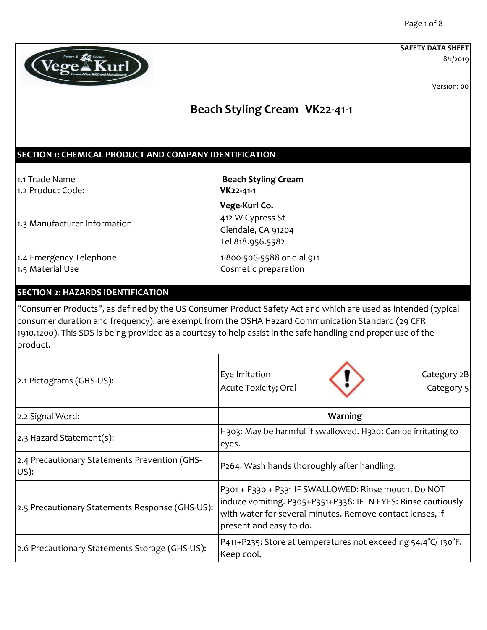8/1/2019



Version: 00

## **Beach Styling Cream VK22-41-1**

### **SECTION 1: CHEMICAL PRODUCT AND COMPANY IDENTIFICATION**

1.2 Product Code: **VK22-41-1**

1.1 Trade Name **Beach Styling Cream** 

1.3 Manufacturer Information

**Vege-Kurl Co.**  412 W Cypress St Glendale, CA 91204 Tel 818.956.5582

1.4 Emergency Telephone 1.4 Emergency Telephone 1.5 Material Use Cosmetic preparation

#### **SECTION 2: HAZARDS IDENTIFICATION**

"Consumer Products", as defined by the US Consumer Product Safety Act and which are used as intended (typical consumer duration and frequency), are exempt from the OSHA Hazard Communication Standard (29 CFR 1910.1200). This SDS is being provided as a courtesy to help assist in the safe handling and proper use of the product.

| 2.1 Pictograms (GHS-US):                              | Eye Irritation<br>Category 2B<br>Acute Toxicity; Oral<br>Category 5                                                                                                                                           |
|-------------------------------------------------------|---------------------------------------------------------------------------------------------------------------------------------------------------------------------------------------------------------------|
| 2.2 Signal Word:                                      | Warning                                                                                                                                                                                                       |
| 2.3 Hazard Statement(s):                              | H303: May be harmful if swallowed. H320: Can be irritating to<br>eyes.                                                                                                                                        |
| 2.4 Precautionary Statements Prevention (GHS-<br>US): | P264: Wash hands thoroughly after handling.                                                                                                                                                                   |
| 2.5 Precautionary Statements Response (GHS-US):       | P301 + P330 + P331 IF SWALLOWED: Rinse mouth. Do NOT<br>induce vomiting. P305+P351+P338: IF IN EYES: Rinse cautiously<br>with water for several minutes. Remove contact lenses, if<br>present and easy to do. |
| 2.6 Precautionary Statements Storage (GHS-US):        | P411+P235: Store at temperatures not exceeding 54.4°C/130°F.<br>Keep cool.                                                                                                                                    |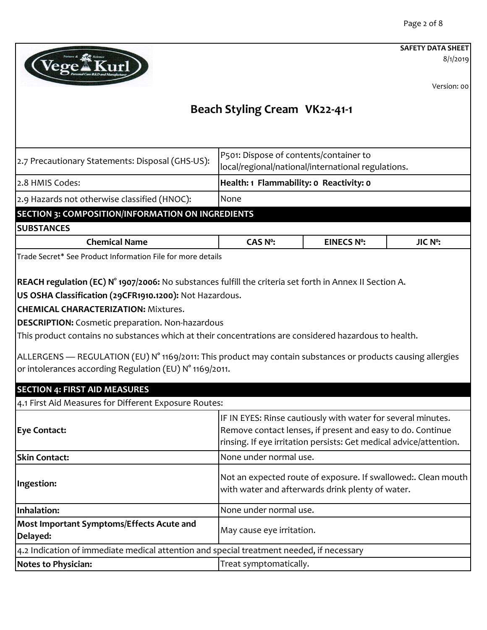8/1/2019



Version: 00

| 2.7 Precautionary Statements: Disposal (GHS-US):                                                                                                                                                                                                                                                                                                                                                                                                                                                                                                                                                                                                                 | P501: Dispose of contents/container to<br>local/regional/national/international regulations. |                                                                                                                                                                                                  |         |
|------------------------------------------------------------------------------------------------------------------------------------------------------------------------------------------------------------------------------------------------------------------------------------------------------------------------------------------------------------------------------------------------------------------------------------------------------------------------------------------------------------------------------------------------------------------------------------------------------------------------------------------------------------------|----------------------------------------------------------------------------------------------|--------------------------------------------------------------------------------------------------------------------------------------------------------------------------------------------------|---------|
| 2.8 HMIS Codes:                                                                                                                                                                                                                                                                                                                                                                                                                                                                                                                                                                                                                                                  | Health: 1 Flammability: 0 Reactivity: 0                                                      |                                                                                                                                                                                                  |         |
| 2.9 Hazards not otherwise classified (HNOC):                                                                                                                                                                                                                                                                                                                                                                                                                                                                                                                                                                                                                     | None                                                                                         |                                                                                                                                                                                                  |         |
| <b>SECTION 3: COMPOSITION/INFORMATION ON INGREDIENTS</b>                                                                                                                                                                                                                                                                                                                                                                                                                                                                                                                                                                                                         |                                                                                              |                                                                                                                                                                                                  |         |
| <b>SUBSTANCES</b>                                                                                                                                                                                                                                                                                                                                                                                                                                                                                                                                                                                                                                                |                                                                                              |                                                                                                                                                                                                  |         |
| <b>Chemical Name</b>                                                                                                                                                                                                                                                                                                                                                                                                                                                                                                                                                                                                                                             | <b>CAS Nº:</b>                                                                               | <b>EINECS Nº:</b>                                                                                                                                                                                | JIC Nº: |
| Trade Secret* See Product Information File for more details                                                                                                                                                                                                                                                                                                                                                                                                                                                                                                                                                                                                      |                                                                                              |                                                                                                                                                                                                  |         |
| REACH regulation (EC) N° 1907/2006: No substances fulfill the criteria set forth in Annex II Section A.<br>US OSHA Classification (29CFR1910.1200): Not Hazardous.<br><b>CHEMICAL CHARACTERIZATION: Mixtures.</b><br><b>DESCRIPTION:</b> Cosmetic preparation. Non-hazardous<br>This product contains no substances which at their concentrations are considered hazardous to health.<br>ALLERGENS — REGULATION (EU) N° 1169/2011: This product may contain substances or products causing allergies<br>or intolerances according Regulation (EU) N° 1169/2011.<br><b>SECTION 4: FIRST AID MEASURES</b><br>4.1 First Aid Measures for Different Exposure Routes: |                                                                                              |                                                                                                                                                                                                  |         |
| <b>Eye Contact:</b>                                                                                                                                                                                                                                                                                                                                                                                                                                                                                                                                                                                                                                              |                                                                                              | IF IN EYES: Rinse cautiously with water for several minutes.<br>Remove contact lenses, if present and easy to do. Continue<br>rinsing. If eye irritation persists: Get medical advice/attention. |         |
| <b>Skin Contact:</b>                                                                                                                                                                                                                                                                                                                                                                                                                                                                                                                                                                                                                                             | None under normal use.                                                                       |                                                                                                                                                                                                  |         |
| Ingestion:                                                                                                                                                                                                                                                                                                                                                                                                                                                                                                                                                                                                                                                       | Not an expected route of exposure. If swallowed:. Clean mouth                                | with water and afterwards drink plenty of water.                                                                                                                                                 |         |
| Inhalation:                                                                                                                                                                                                                                                                                                                                                                                                                                                                                                                                                                                                                                                      | None under normal use.                                                                       |                                                                                                                                                                                                  |         |
| Most Important Symptoms/Effects Acute and<br>Delayed:                                                                                                                                                                                                                                                                                                                                                                                                                                                                                                                                                                                                            | May cause eye irritation.                                                                    |                                                                                                                                                                                                  |         |
| 4.2 Indication of immediate medical attention and special treatment needed, if necessary                                                                                                                                                                                                                                                                                                                                                                                                                                                                                                                                                                         |                                                                                              |                                                                                                                                                                                                  |         |
| <b>Notes to Physician:</b>                                                                                                                                                                                                                                                                                                                                                                                                                                                                                                                                                                                                                                       | Treat symptomatically.                                                                       |                                                                                                                                                                                                  |         |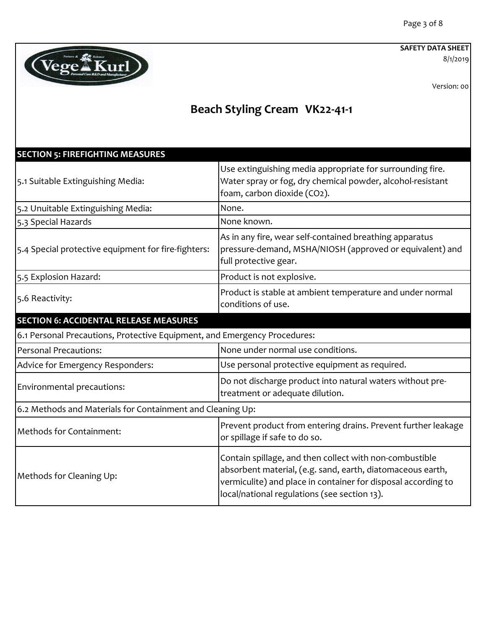8/1/2019

Version: 00



| <b>SECTION 5: FIREFIGHTING MEASURES</b>                                   |                                                                                                                                                                                                                                        |
|---------------------------------------------------------------------------|----------------------------------------------------------------------------------------------------------------------------------------------------------------------------------------------------------------------------------------|
| 5.1 Suitable Extinguishing Media:                                         | Use extinguishing media appropriate for surrounding fire.<br>Water spray or fog, dry chemical powder, alcohol-resistant<br>foam, carbon dioxide (CO2).                                                                                 |
| 5.2 Unuitable Extinguishing Media:                                        | None.                                                                                                                                                                                                                                  |
| 5.3 Special Hazards                                                       | None known.                                                                                                                                                                                                                            |
| 5.4 Special protective equipment for fire-fighters:                       | As in any fire, wear self-contained breathing apparatus<br>pressure-demand, MSHA/NIOSH (approved or equivalent) and<br>full protective gear.                                                                                           |
| 5.5 Explosion Hazard:                                                     | Product is not explosive.                                                                                                                                                                                                              |
| 5.6 Reactivity:                                                           | Product is stable at ambient temperature and under normal<br>conditions of use.                                                                                                                                                        |
| <b>SECTION 6: ACCIDENTAL RELEASE MEASURES</b>                             |                                                                                                                                                                                                                                        |
| 6.1 Personal Precautions, Protective Equipment, and Emergency Procedures: |                                                                                                                                                                                                                                        |
| Personal Precautions:                                                     | None under normal use conditions.                                                                                                                                                                                                      |
| Advice for Emergency Responders:                                          | Use personal protective equipment as required.                                                                                                                                                                                         |
| Environmental precautions:                                                | Do not discharge product into natural waters without pre-<br>treatment or adequate dilution.                                                                                                                                           |
| 6.2 Methods and Materials for Containment and Cleaning Up:                |                                                                                                                                                                                                                                        |
| Methods for Containment:                                                  | Prevent product from entering drains. Prevent further leakage<br>or spillage if safe to do so.                                                                                                                                         |
| Methods for Cleaning Up:                                                  | Contain spillage, and then collect with non-combustible<br>absorbent material, (e.g. sand, earth, diatomaceous earth,<br>vermiculite) and place in container for disposal according to<br>local/national regulations (see section 13). |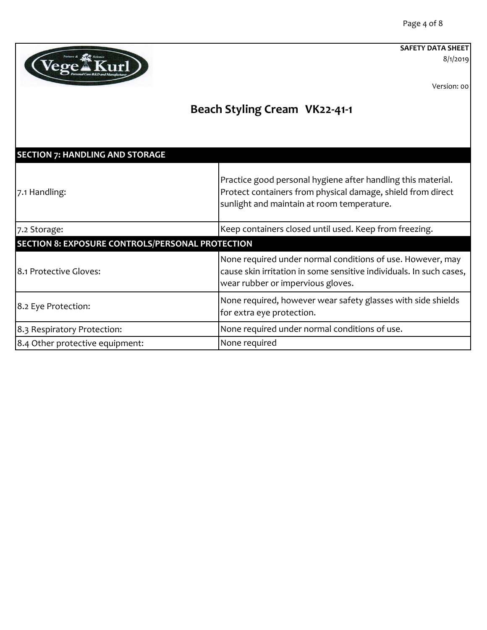8/1/2019

Version: 00



| <b>SECTION 7: HANDLING AND STORAGE</b>                  |                                                                                                                                                                           |
|---------------------------------------------------------|---------------------------------------------------------------------------------------------------------------------------------------------------------------------------|
| 7.1 Handling:                                           | Practice good personal hygiene after handling this material.<br>Protect containers from physical damage, shield from direct<br>sunlight and maintain at room temperature. |
| 7.2 Storage:                                            | Keep containers closed until used. Keep from freezing.                                                                                                                    |
| <b>SECTION 8: EXPOSURE CONTROLS/PERSONAL PROTECTION</b> |                                                                                                                                                                           |
| 8.1 Protective Gloves:                                  | None required under normal conditions of use. However, may<br>cause skin irritation in some sensitive individuals. In such cases,<br>wear rubber or impervious gloves.    |
| 8.2 Eye Protection:                                     | None required, however wear safety glasses with side shields<br>for extra eye protection.                                                                                 |
| 8.3 Respiratory Protection:                             | None required under normal conditions of use.                                                                                                                             |
| 8.4 Other protective equipment:                         | None required                                                                                                                                                             |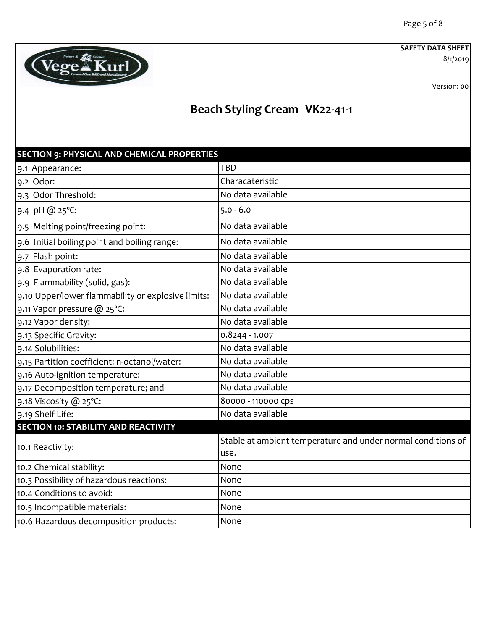8/1/2019

Version: 00



| <b>SECTION 9: PHYSICAL AND CHEMICAL PROPERTIES</b> |                                                                      |
|----------------------------------------------------|----------------------------------------------------------------------|
| 9.1 Appearance:                                    | TBD                                                                  |
| 9.2 Odor:                                          | Characateristic                                                      |
| 9.3 Odor Threshold:                                | No data available                                                    |
| 9.4 pH @ 25°C:                                     | $5.0 - 6.0$                                                          |
| 9.5 Melting point/freezing point:                  | No data available                                                    |
| 9.6 Initial boiling point and boiling range:       | No data available                                                    |
| 9.7 Flash point:                                   | No data available                                                    |
| 9.8 Evaporation rate:                              | No data available                                                    |
| 9.9 Flammability (solid, gas):                     | No data available                                                    |
| 9.10 Upper/lower flammability or explosive limits: | No data available                                                    |
| 9.11 Vapor pressure @ 25°C:                        | No data available                                                    |
| 9.12 Vapor density:                                | No data available                                                    |
| 9.13 Specific Gravity:                             | 0.8244 - 1.007                                                       |
| 9.14 Solubilities:                                 | No data available                                                    |
| 9.15 Partition coefficient: n-octanol/water:       | No data available                                                    |
| 9.16 Auto-ignition temperature:                    | No data available                                                    |
| 9.17 Decomposition temperature; and                | No data available                                                    |
| 9.18 Viscosity @ 25°C:                             | 80000 - 110000 cps                                                   |
| 9.19 Shelf Life:                                   | No data available                                                    |
| <b>SECTION 10: STABILITY AND REACTIVITY</b>        |                                                                      |
| 10.1 Reactivity:                                   | Stable at ambient temperature and under normal conditions of<br>use. |
| 10.2 Chemical stability:                           | None                                                                 |
| 10.3 Possibility of hazardous reactions:           | None                                                                 |
| 10.4 Conditions to avoid:                          | None                                                                 |
| 10.5 Incompatible materials:                       | None                                                                 |
| 10.6 Hazardous decomposition products:             | None                                                                 |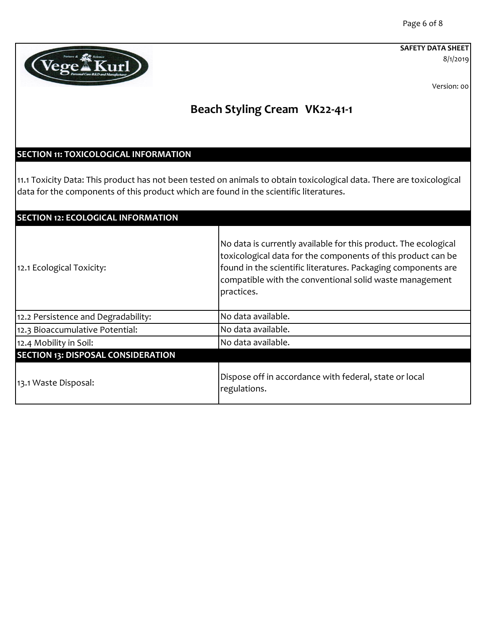8/1/2019

Version: 00

## **Beach Styling Cream VK22-41-1**

## **SECTION 11: TOXICOLOGICAL INFORMATION**

Vege<sup>\*</sup>Kurl

11.1 Toxicity Data: This product has not been tested on animals to obtain toxicological data. There are toxicological data for the components of this product which are found in the scientific literatures.

| <b>SECTION 12: ECOLOGICAL INFORMATION</b> |                                                                                                                                                                                                                                                                           |
|-------------------------------------------|---------------------------------------------------------------------------------------------------------------------------------------------------------------------------------------------------------------------------------------------------------------------------|
| 12.1 Ecological Toxicity:                 | No data is currently available for this product. The ecological<br>toxicological data for the components of this product can be<br>found in the scientific literatures. Packaging components are<br>compatible with the conventional solid waste management<br>practices. |
| 12.2 Persistence and Degradability:       | No data available.                                                                                                                                                                                                                                                        |
| 12.3 Bioaccumulative Potential:           | No data available.                                                                                                                                                                                                                                                        |
| 12.4 Mobility in Soil:                    | No data available.                                                                                                                                                                                                                                                        |
| <b>SECTION 13: DISPOSAL CONSIDERATION</b> |                                                                                                                                                                                                                                                                           |
| 13.1 Waste Disposal:                      | Dispose off in accordance with federal, state or local<br>regulations.                                                                                                                                                                                                    |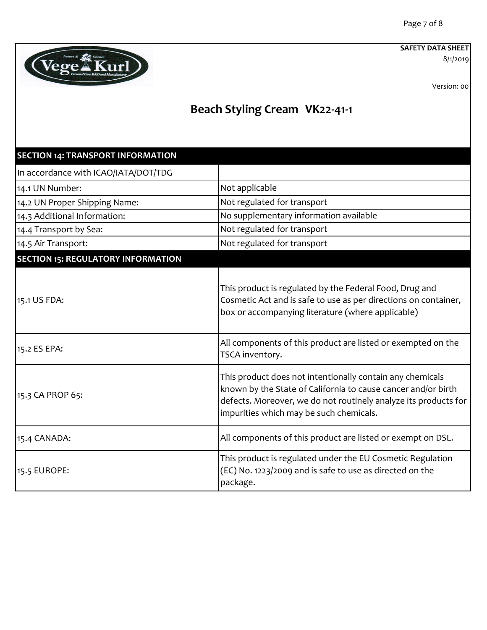8/1/2019



Version: 00

| <b>SECTION 14: TRANSPORT INFORMATION</b>  |                                                                                                                                                                                                                                          |
|-------------------------------------------|------------------------------------------------------------------------------------------------------------------------------------------------------------------------------------------------------------------------------------------|
| In accordance with ICAO/IATA/DOT/TDG      |                                                                                                                                                                                                                                          |
| 14.1 UN Number:                           | Not applicable                                                                                                                                                                                                                           |
| 14.2 UN Proper Shipping Name:             | Not regulated for transport                                                                                                                                                                                                              |
| 14.3 Additional Information:              | No supplementary information available                                                                                                                                                                                                   |
| 14.4 Transport by Sea:                    | Not regulated for transport                                                                                                                                                                                                              |
| 14.5 Air Transport:                       | Not regulated for transport                                                                                                                                                                                                              |
| <b>SECTION 15: REGULATORY INFORMATION</b> |                                                                                                                                                                                                                                          |
| 15.1 US FDA:                              | This product is regulated by the Federal Food, Drug and<br>Cosmetic Act and is safe to use as per directions on container,<br>box or accompanying literature (where applicable)                                                          |
| 15.2 ES EPA:                              | All components of this product are listed or exempted on the<br>TSCA inventory.                                                                                                                                                          |
| 15.3 CA PROP 65:                          | This product does not intentionally contain any chemicals<br>known by the State of California to cause cancer and/or birth<br>defects. Moreover, we do not routinely analyze its products for<br>impurities which may be such chemicals. |
| 15.4 CANADA:                              | All components of this product are listed or exempt on DSL.                                                                                                                                                                              |
| 15.5 EUROPE:                              | This product is regulated under the EU Cosmetic Regulation<br>(EC) No. 1223/2009 and is safe to use as directed on the<br>package.                                                                                                       |